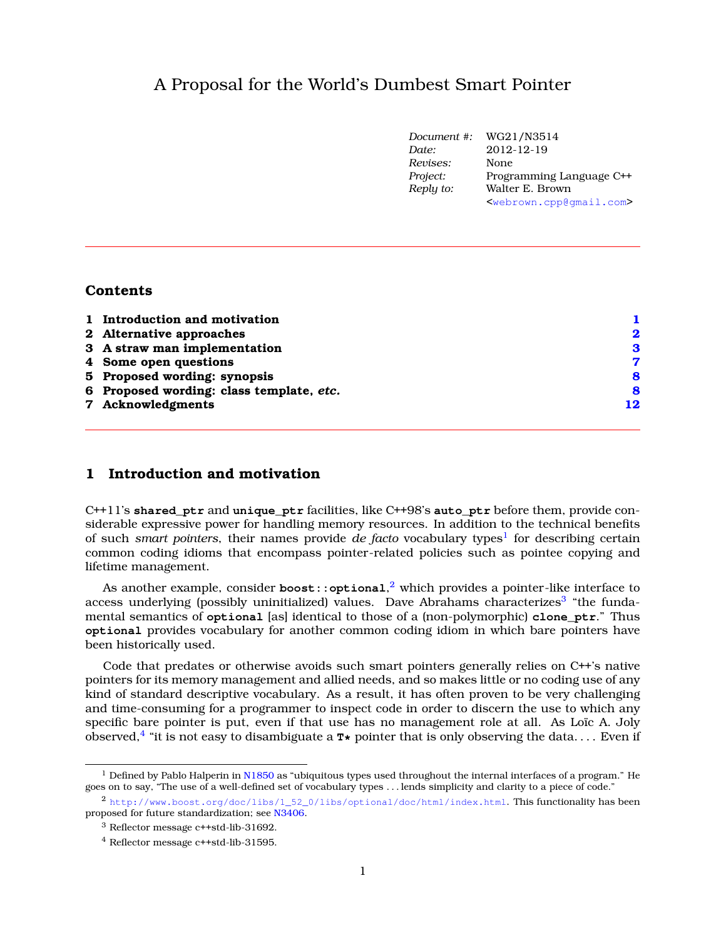# A Proposal for the World's Dumbest Smart Pointer

|           | Document #: WG21/N3514                          |
|-----------|-------------------------------------------------|
| Date:     | 2012-12-19                                      |
| Revises:  | None                                            |
| Project:  | Programming Language C++                        |
| Reply to: | Walter E. Brown                                 |
|           | <webrown.cpp@gmail.com></webrown.cpp@gmail.com> |

### **Contents**

| 1 Introduction and motivation            |             |
|------------------------------------------|-------------|
| 2 Alternative approaches                 | $\mathbf 2$ |
| 3 A straw man implementation             | 3           |
| 4 Some open questions                    | 7           |
| 5 Proposed wording: synopsis             | 8           |
| 6 Proposed wording: class template, etc. | 8           |
| 7 Acknowledgments                        | 12          |
|                                          |             |

## <span id="page-0-0"></span>**1 Introduction and motivation**

C++11's **shared\_ptr** and **unique\_ptr** facilities, like C++98's **auto\_ptr** before them, provide considerable expressive power for handling memory resources. In addition to the technical benefits of such smart pointers, their names provide de facto vocabulary types<sup>[1](#page-0-1)</sup> for describing certain common coding idioms that encompass pointer-related policies such as pointee copying and lifetime management.

As another example, consider **boost::optional**, [2](#page-0-2) which provides a pointer-like interface to access underlying (possibly uninitialized) values. Dave Abrahams characterizes<sup>[3](#page-0-3)</sup> "the fundamental semantics of **optional** [as] identical to those of a (non-polymorphic) **clone\_ptr**." Thus **optional** provides vocabulary for another common coding idiom in which bare pointers have been historically used.

Code that predates or otherwise avoids such smart pointers generally relies on C++'s native pointers for its memory management and allied needs, and so makes little or no coding use of any kind of standard descriptive vocabulary. As a result, it has often proven to be very challenging and time-consuming for a programmer to inspect code in order to discern the use to which any specific bare pointer is put, even if that use has no management role at all. As Loïc A. Joly observed,[4](#page-0-4) "it is not easy to disambiguate a **T\*** pointer that is only observing the data. . . . Even if

<span id="page-0-1"></span><sup>&</sup>lt;sup>1</sup> Defined by Pablo Halperin in [N1850](http://www.open-std.org/jtc1/sc22/wg21/docs/papers/2005/n1850.pdf) as "ubiquitous types used throughout the internal interfaces of a program." He goes on to say, "The use of a well-defined set of vocabulary types . . . lends simplicity and clarity to a piece of code."

<span id="page-0-2"></span><sup>2</sup> [http://www.boost.org/doc/libs/1\\_52\\_0/libs/optional/doc/html/index.html](http://www.boost.org/doc/libs/1_52_0/libs/optional/doc/html/index.html). This functionality has been proposed for future standardization; see [N3406.](http://www.open-std.org/jtc1/sc22/wg21/docs/papers/2012/n3406.html)

<span id="page-0-3"></span><sup>3</sup> Reflector message c++std-lib-31692.

<span id="page-0-4"></span><sup>4</sup> Reflector message c++std-lib-31595.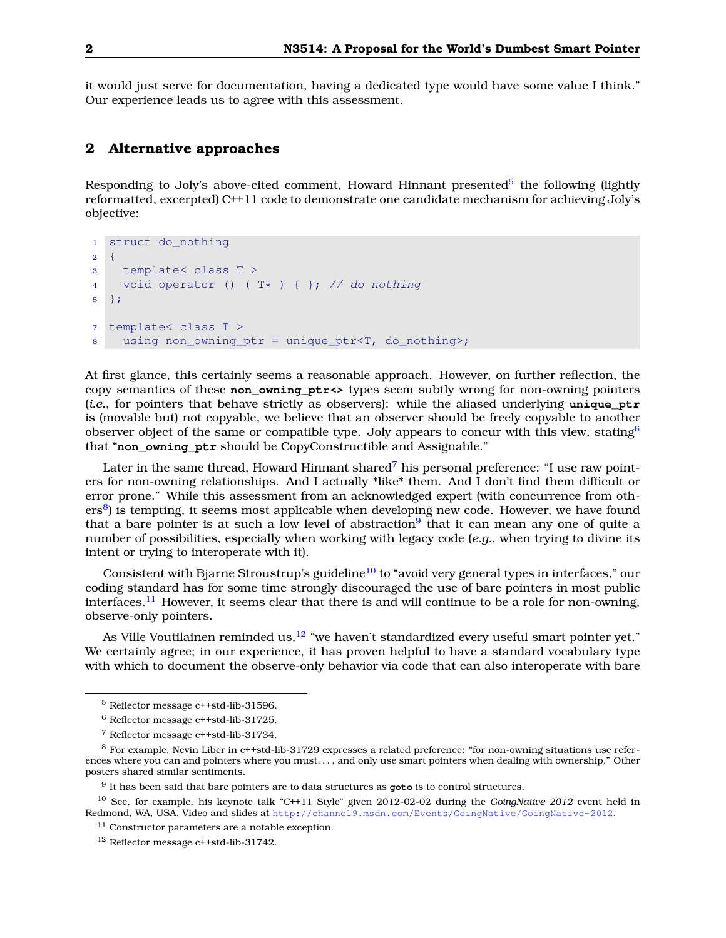<span id="page-1-0"></span>it would just serve for documentation, having a dedicated type would have some value I think." Our experience leads us to agree with this assessment.

### **2 Alternative approaches**

Responding to Joly's above-cited comment, Howard Hinnant presented<sup>[5](#page-1-1)</sup> the following (lightly reformatted, excerpted) C++11 code to demonstrate one candidate mechanism for achieving Joly's objective:

```
1 struct do_nothing
2 \left\{ \right.3 template< class T >
4 void operator () ( T* ) { }; // do nothing
5 };
7 template< class T >
8 using non owning ptr = unique ptr<T, do nothing>;
```
At first glance, this certainly seems a reasonable approach. However, on further reflection, the copy semantics of these **non\_owning\_ptr<>** types seem subtly wrong for non-owning pointers (*i.e.*, for pointers that behave strictly as observers): while the aliased underlying **unique\_ptr** is (movable but) not copyable, we believe that an observer should be freely copyable to another observer object of the same or compatible type. Joly appears to concur with this view, stating  $6$ that "**non\_owning\_ptr** should be CopyConstructible and Assignable."

Later in the same thread, Howard Hinnant shared<sup>[7](#page-1-3)</sup> his personal preference: "I use raw pointers for non-owning relationships. And I actually \*like\* them. And I don't find them difficult or error prone." While this assessment from an acknowledged expert (with concurrence from oth-ers<sup>[8](#page-1-4)</sup>) is tempting, it seems most applicable when developing new code. However, we have found that a bare pointer is at such a low level of abstraction $9$  that it can mean any one of quite a number of possibilities, especially when working with legacy code (*e.g.*, when trying to divine its intent or trying to interoperate with it).

Consistent with Bjarne Stroustrup's guideline<sup>[10](#page-1-6)</sup> to "avoid very general types in interfaces," our coding standard has for some time strongly discouraged the use of bare pointers in most public interfaces.<sup>[11](#page-1-7)</sup> However, it seems clear that there is and will continue to be a role for non-owning, observe-only pointers.

As Ville Voutilainen reminded us,  $12$  "we haven't standardized every useful smart pointer yet." We certainly agree; in our experience, it has proven helpful to have a standard vocabulary type with which to document the observe-only behavior via code that can also interoperate with bare

<span id="page-1-1"></span><sup>5</sup> Reflector message c++std-lib-31596.

<span id="page-1-2"></span><sup>6</sup> Reflector message c++std-lib-31725.

<span id="page-1-4"></span><span id="page-1-3"></span><sup>7</sup> Reflector message c++std-lib-31734.

<sup>8</sup> For example, Nevin Liber in c++std-lib-31729 expresses a related preference: "for non-owning situations use references where you can and pointers where you must. . . , and only use smart pointers when dealing with ownership." Other posters shared similar sentiments.

<span id="page-1-6"></span><span id="page-1-5"></span><sup>9</sup> It has been said that bare pointers are to data structures as **goto** is to control structures.

<sup>10</sup> See, for example, his keynote talk "C++11 Style" given 2012-02-02 during the *GoingNative 2012* event held in Redmond, WA, USA. Video and slides at <http://channel9.msdn.com/Events/GoingNative/GoingNative-2012>.

<span id="page-1-7"></span><sup>&</sup>lt;sup>11</sup> Constructor parameters are a notable exception.

<span id="page-1-8"></span><sup>12</sup> Reflector message c++std-lib-31742.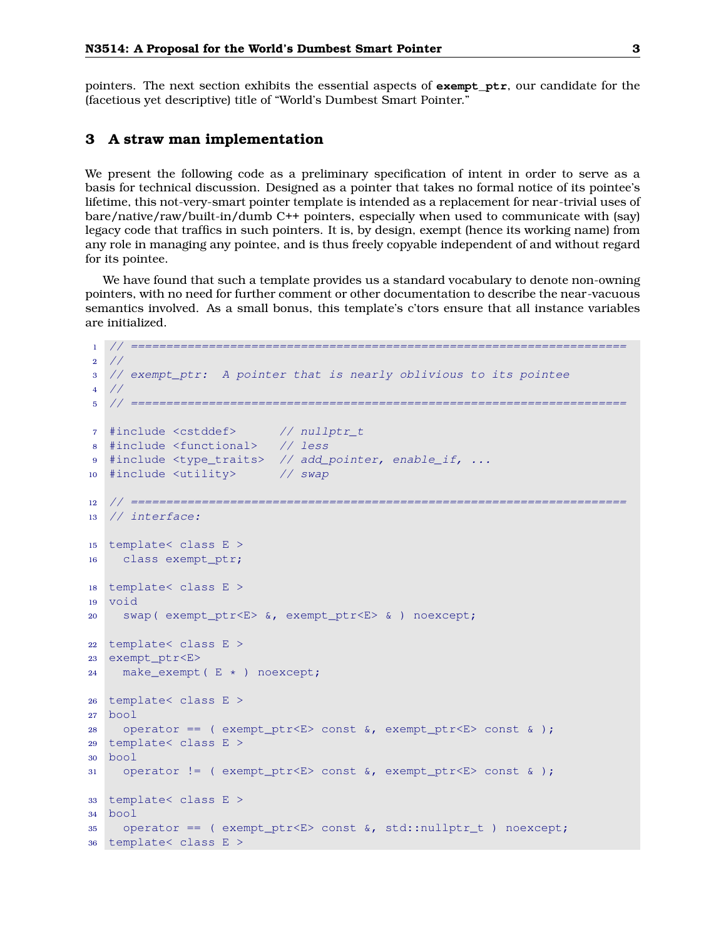<span id="page-2-0"></span>pointers. The next section exhibits the essential aspects of **exempt\_ptr**, our candidate for the (facetious yet descriptive) title of "World's Dumbest Smart Pointer."

### **3 A straw man implementation**

We present the following code as a preliminary specification of intent in order to serve as a basis for technical discussion. Designed as a pointer that takes no formal notice of its pointee's lifetime, this not-very-smart pointer template is intended as a replacement for near-trivial uses of bare/native/raw/built-in/dumb C++ pointers, especially when used to communicate with (say) legacy code that traffics in such pointers. It is, by design, exempt (hence its working name) from any role in managing any pointee, and is thus freely copyable independent of and without regard for its pointee.

We have found that such a template provides us a standard vocabulary to denote non-owning pointers, with no need for further comment or other documentation to describe the near-vacuous semantics involved. As a small bonus, this template's c'tors ensure that all instance variables are initialized.

```
1 // ======================================================================
2 //
3 // exempt_ptr: A pointer that is nearly oblivious to its pointee
4 //
5 // ======================================================================
7 #include <cstddef> // nullptr_t
8 #include <functional> // less
9 #include <type_traits> // add_pointer, enable_if, ...
10 #include <utility> // swap
12 // ======================================================================
13 // interface:
15 template< class E >
16 class exempt_ptr;
18 template< class E >
19 void
20 swap( exempt_ptr<E> &, exempt_ptr<E> & ) noexcept;
22 template< class E >
23 exempt_ptr<E>
24 make_exempt( E * ) noexcept;
26 template< class E >
27 bool
28 operator == ( exempt_ptr<E> const \&sub>6</sub>, exempt_ptr<E> const \&sub>6</sub>;
29 template< class E >
30 bool
31 operator != ( exempt_ptr<E> const \&sub>6</sub>, exempt_ptr<E> const \&sub>6</sub>;
33 template< class E >
34 bool
35 operator == ( exempt_ptr<E> const &, std::nullptr_t ) noexcept;
36 template< class E >
```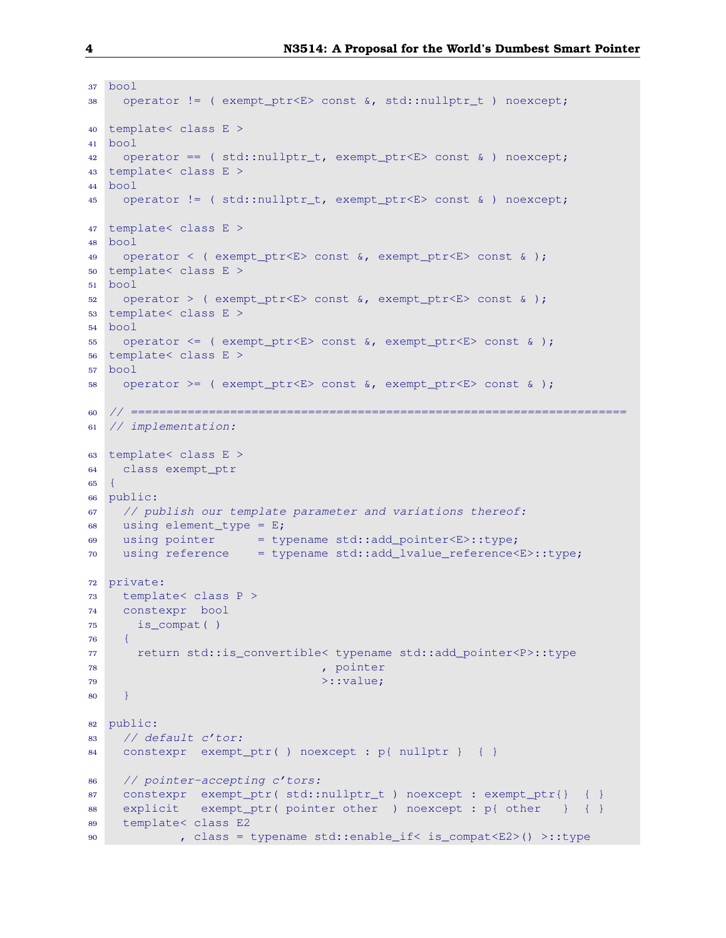```
37 bool
38 operator != ( exempt_ptr<E> const &, std::nullptr_t ) noexcept;
40 template< class E >
41 bool
42 operator == ( std::nullptr_t, exempt_ptr<E> const & ) noexcept;
43 template< class E >
44 bool
45 operator != ( std::nullptr_t, exempt_ptr<E> const & ) noexcept;
47 template< class E >
48 bool
49 operator < ( exempt_ptr<E> const &, exempt_ptr<E> const & );
50 template< class E >
51 bool
52 operator > ( exempt_ptr<E> const \&sub>6</sub>, exempt_ptr<E> const \&sub>6</sub>;
53 template< class E >
54 bool
55 operator <= ( exempt_ptr<E> const &, exempt_ptr<E> const & );
56 template< class E >
57 bool
58 operator >= ( exempt_ptr<E> const \&sub>6</sub>, exempt_ptr<E> const \&sub>6</sub>;
60 // ======================================================================
61 // implementation:
63 template< class E >
64 class exempt_ptr
65 {
66 public:
67 // publish our template parameter and variations thereof:
68 using element_type = E;
69 using pointer = typename std::add_pointer<E>::type;
70 using reference = typename std::add_lvalue_reference<E>::type;
72 private:
73 template< class P >
74 constexpr bool
75 is_compat( )
76 {
77 return std::is_convertible< typename std::add_pointer<P>::type
78 , pointer , pointer
79 >::value;
80 }
82 public:
83 // default c'tor:
84 constexpr exempt_ptr( ) noexcept : p{ nullptr } { }
86 // pointer-accepting c'tors:
87 constexpr exempt_ptr( std::nullptr_t ) noexcept : exempt_ptr{} { }
88 explicit exempt_ptr( pointer other ) noexcept : p{ other } { }
89 template< class E2
90 , class = typename std::enable_if< is_compat<E2>() >::type
```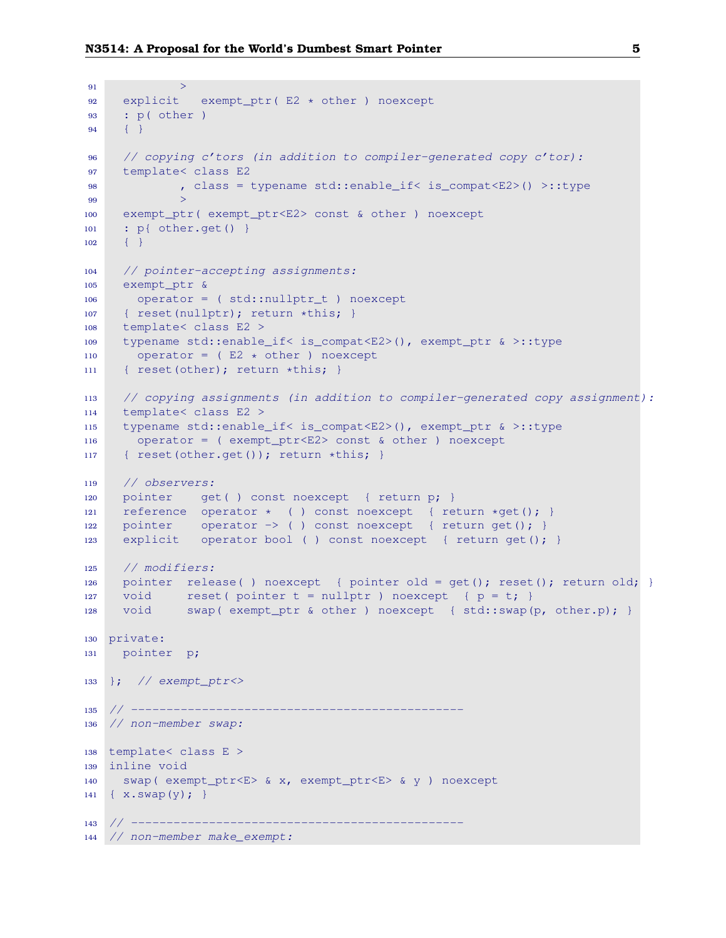```
91 >92 explicit exempt_ptr( E2 * other ) noexcept
93 : p( other )
94 { }
96 // copying c'tors (in addition to compiler-generated copy c'tor):
97 template< class E2
98 , class = typename std::enable_if< is_compat<E2>() >::type
99 >
100 exempt_ptr( exempt_ptr<E2> const & other ) noexcept
101 : p{ other.get() }
102 \qquad \{ \}104 // pointer-accepting assignments:
105 exempt_ptr &
106 operator = ( std::nullptr_t ) noexcept
107 { reset(nullptr); return *this; }
108 template< class E2 >
109 typename std::enable_if< is_compat<E2>(), exempt_ptr & >::type
110 operator = ( E2 \times other ) noexcept
111 { reset(other); return *this; }
113 // copying assignments (in addition to compiler-generated copy assignment):
114 template< class E2 >
115 typename std::enable_if< is_compat<E2>(), exempt_ptr & >::type
116 operator = ( exempt_ptr<E2> const & other ) noexcept
117 { reset(other.get()); return *this; }
119 // observers:
120 pointer get( ) const noexcept { return p; }
121 reference operator * ( ) const noexcept { return *get(); }
122 pointer operator \rightarrow ( ) const noexcept { return get(); }
123 explicit operator bool ( ) const noexcept { return get(); }
125 // modifiers:
126 pointer release( ) noexcept { pointer old = get(); reset(); return old; }
127 void reset( pointer t = nullptr) noexcept { p = t; }
128 void swap( exempt_ptr & other ) noexcept { std::swap(p, other.p); }
130 private:
131 pointer p;
133 }; // exempt_ptr<>
135 // --------
136 // non-member swap:
138 template< class E >
139 inline void
140 swap( exempt_ptr<E> & x, exempt_ptr<E> & y ) noexcept
141 { x.swap(y); }
143 // --------
144 // non-member make_exempt:
```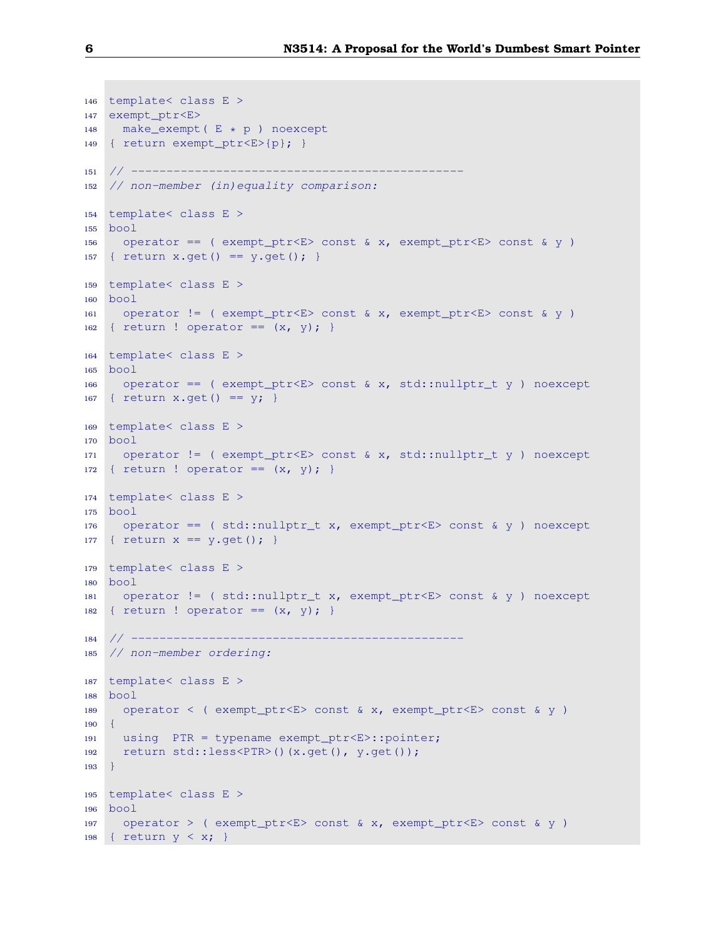```
146 template< class E >
147 exempt_ptr<E>
148 make_exempt( E * p ) noexcept
149 { return exempt_ptr<E>{p}; }
151 // -----------------------------------------------
152 // non-member (in)equality comparison:
154 template< class E >
155 bool
156 operator == ( exempt_ptr<E> const & x, exempt_ptr<E> const & y )
157 { return x.get() == y.get(); }
159 template< class E >
160 bool
161 operator != ( exempt_ptr<E> const & x, exempt_ptr<E> const & y )
162 { return ! operator == (x, y); }
164 template< class E >
165 bool
166 operator == ( exempt_ptr<E> const & x, std::nullptr_t y ) noexcept
167 { return x.get() == y; }
169 template< class E >
170 bool
171 operator != ( exempt_ptr<E> const & x, std::nullptr_t y ) noexcept
172 { return ! operator == (x, y); }
174 template< class E >
175 bool
176 operator == ( std::nullptr_t x, exempt_ptr<E> const & y ) noexcept
177 { return x == y.get(); }
179 template< class E >
180 bool
181 operator != ( std::nullptr_t x, exempt_ptr<E> const & y ) noexcept
182 { return ! operator == (x, y); }
184 // --------
185 // non-member ordering:
187 template< class E >
188 bool
189 operator < ( exempt_ptr<E> const & x, exempt_ptr<E> const & y )
190 \quad \{191 using PTR = typename exempt_ptr<E>::pointer;
192 return std::less<PTR>()(x.get(), y.get());
193 }
195 template< class E >
196 bool
197 operator > ( exempt_ptr<E> const & x, exempt_ptr<E> const & y )
198 \{ return y < x; \}
```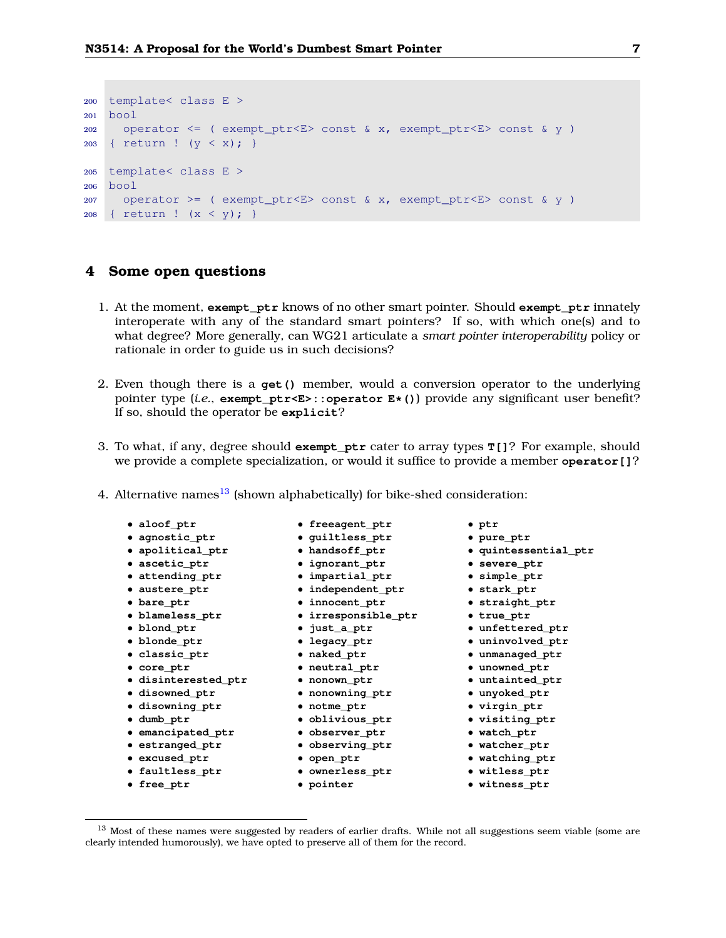```
200 template< class E >
201 bool
202 operator <= ( exempt_ptr<E> const & x, exempt_ptr<E> const & y )
203 { return ! (y < x); }
205 template< class E >
206 bool
207 operator >= ( exempt_ptr<E> const & x, exempt_ptr<E> const & y )
208 { return ! (x < y); }
```
#### <span id="page-6-0"></span>**4 Some open questions**

- 1. At the moment, **exempt\_ptr** knows of no other smart pointer. Should **exempt\_ptr** innately interoperate with any of the standard smart pointers? If so, with which one(s) and to what degree? More generally, can WG21 articulate a *smart pointer interoperability* policy or rationale in order to guide us in such decisions?
- 2. Even though there is a **get()** member, would a conversion operator to the underlying pointer type (*i.e.*, **exempt\_ptr<E>::operator E\*()**) provide any significant user benefit? If so, should the operator be **explicit**?
- 3. To what, if any, degree should **exempt\_ptr** cater to array types **T[]**? For example, should we provide a complete specialization, or would it suffice to provide a member **operator[]**?
- 4. Alternative names $^{13}$  $^{13}$  $^{13}$  (shown alphabetically) for bike-shed consideration:
	- **aloof\_ptr** • **agnostic\_ptr** • **apolitical\_ptr** • **ascetic\_ptr**
	-
	- **attending\_ptr**
	- **austere\_ptr**
	- **bare\_ptr**
	- **blameless\_ptr**
	- **blond\_ptr**
	- **blonde\_ptr**
	- **classic\_ptr**
	- **core\_ptr**
	- **disinterested\_ptr**
	- **disowned\_ptr**
	- **disowning\_ptr**
	- **dumb\_ptr**
	- **emancipated\_ptr observer\_ptr**
	- **estranged\_ptr**
	- **excused\_ptr**
	- **faultless\_ptr**
	- **free\_ptr**
- **freeagent\_ptr**
- **guiltless\_ptr** • **handsoff\_ptr**
- **ignorant\_ptr**
	- **impartial\_ptr**
	- **independent\_ptr**
	-
- **innocent\_ptr**
	- **irresponsible\_ptr**
	- **just\_a\_ptr**
	- **legacy\_ptr**
	- **naked\_ptr**
	- **neutral\_ptr**
	- **nonown\_ptr**
	- **nonowning\_ptr**
	- **notme\_ptr**
	- **oblivious\_ptr**
	-
- **observing\_ptr**
	- **open\_ptr**
	- **ownerless\_ptr**
- **pointer**
- **ptr**
- **pure\_ptr**
- **quintessential\_ptr**
- **severe\_ptr**
- **simple\_ptr**
- **stark\_ptr**
- **straight\_ptr**
	- **true\_ptr**
	- **unfettered\_ptr**
- **uninvolved\_ptr**
	- **unmanaged\_ptr**
		- **unowned\_ptr**
		- **untainted\_ptr**
		- **unyoked\_ptr**
		- **virgin\_ptr**
		- **visiting\_ptr**
	- **watch\_ptr**
		-
- **watcher\_ptr**
- **watching\_ptr**
- **witless\_ptr**
	- **witness\_ptr**

<span id="page-6-1"></span><sup>&</sup>lt;sup>13</sup> Most of these names were suggested by readers of earlier drafts. While not all suggestions seem viable (some are clearly intended humorously), we have opted to preserve all of them for the record.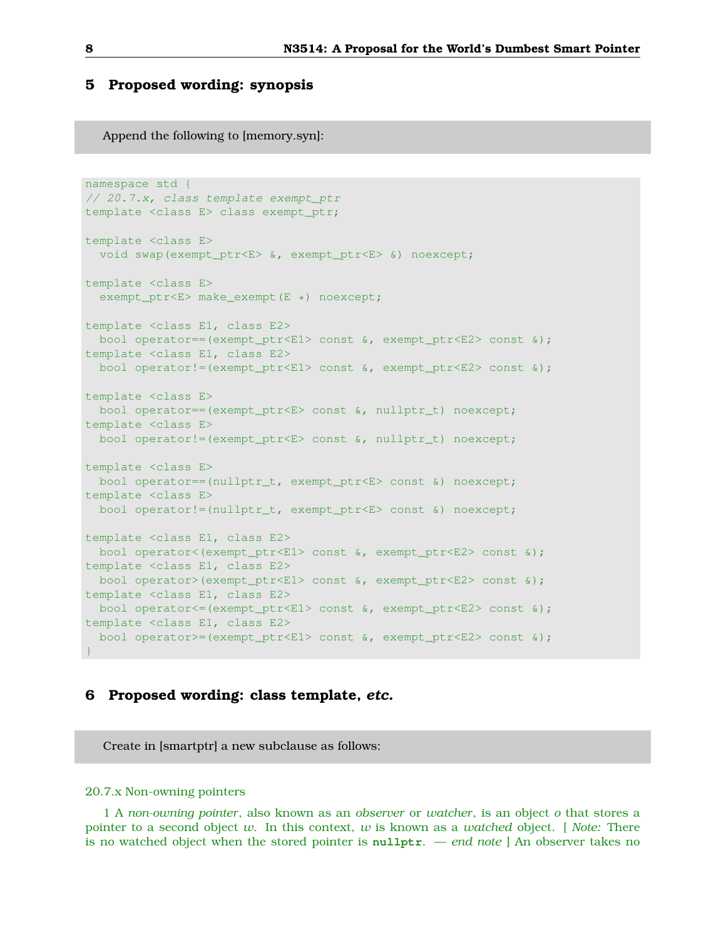### <span id="page-7-0"></span>**5 Proposed wording: synopsis**

Append the following to [memory.syn]:

```
namespace std {
// 20.7.x, class template exempt_ptr
template <class E> class exempt_ptr;
template <class E>
 void swap(exempt_ptr<E> &, exempt_ptr<E> &) noexcept;
template <class E>
 exempt_ptr<E> make_exempt(E *) noexcept;
template <class E1, class E2>
bool operator==(exempt_ptr<E1> const &, exempt_ptr<E2> const &);
template <class E1, class E2>
 bool operator!=(exempt_ptr<E1> const &, exempt_ptr<E2> const &);
template <class E>
bool operator==(exempt_ptr<E> const &, nullptr_t) noexcept;
template <class E>
 bool operator!=(exempt_ptr<E> const &, nullptr_t) noexcept;
template <class E>
 bool operator==(nullptr_t, exempt_ptr<E> const &) noexcept;
template <class E>
 bool operator!=(nullptr_t, exempt_ptr<E> const &) noexcept;
template <class E1, class E2>
bool operator<(exempt_ptr<E1> const &, exempt_ptr<E2> const &);
template <class E1, class E2>
 bool operator>(exempt_ptr<E1> const &, exempt_ptr<E2> const &);
template <class E1, class E2>
bool operator<=(exempt_ptr<E1> const &, exempt_ptr<E2> const &);
template <class E1, class E2>
 bool operator>=(exempt_ptr<E1> const &, exempt_ptr<E2> const &);
}
```
### <span id="page-7-1"></span>**6 Proposed wording: class template,** *etc.*

Create in [smartptr] a new subclause as follows:

#### 20.7.x Non-owning pointers

1 A *non-owning pointer*, also known as an *observer* or *watcher*, is an object *o* that stores a pointer to a second object *w*. In this context, *w* is known as a *watched* object. [ *Note:* There is no watched object when the stored pointer is **nullptr**. — *end note* ] An observer takes no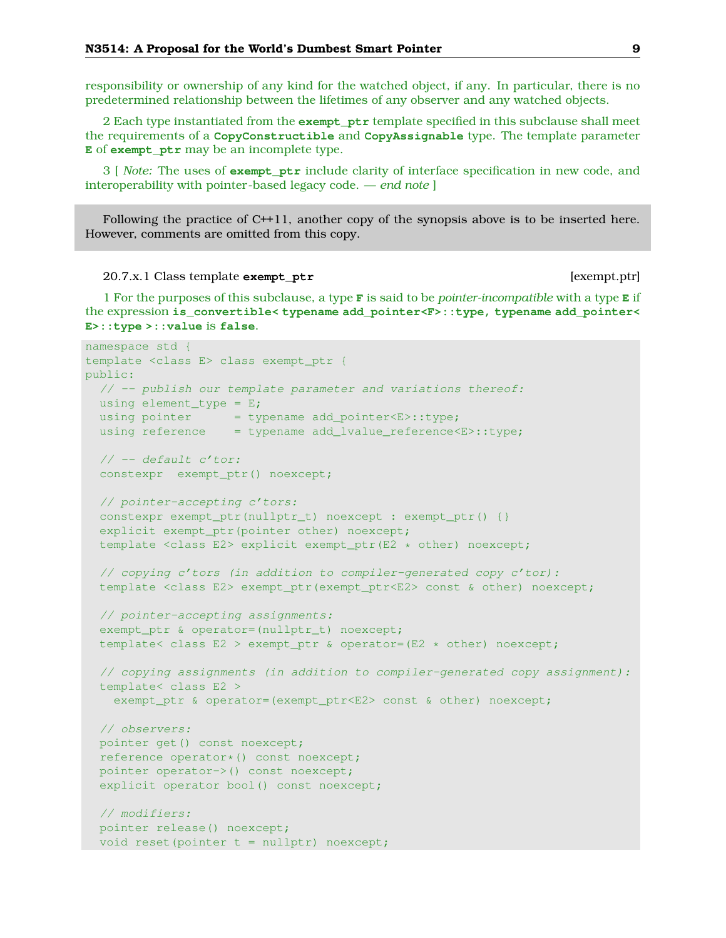responsibility or ownership of any kind for the watched object, if any. In particular, there is no predetermined relationship between the lifetimes of any observer and any watched objects.

2 Each type instantiated from the **exempt\_ptr** template specified in this subclause shall meet the requirements of a **CopyConstructible** and **CopyAssignable** type. The template parameter **E** of **exempt\_ptr** may be an incomplete type.

3 [ *Note:* The uses of **exempt\_ptr** include clarity of interface specification in new code, and interoperability with pointer-based legacy code. — *end note* ]

Following the practice of C++11, another copy of the synopsis above is to be inserted here. However, comments are omitted from this copy.

20.7.x.1 Class template **exempt\_ptr** [exempt.ptr]

1 For the purposes of this subclause, a type **F** is said to be *pointer-incompatible* with a type **E** if the expression **is\_convertible< typename add\_pointer<F>::type, typename add\_pointer< E>::type >::value** is **false**.

```
namespace std {
template <class E> class exempt_ptr {
public:
 // -- publish our template parameter and variations thereof:
 using element_type = E;
  using pointer = typename add_pointer<E>::type;
  using reference = typename add_lvalue_reference<E>::type;
  // -- default c'tor:
  constexpr exempt_ptr() noexcept;
  // pointer-accepting c'tors:
 constexpr exempt ptr(nullptr t) noexcept : exempt ptr() {}
  explicit exempt_ptr(pointer other) noexcept;
  template <class E2> explicit exempt_ptr(E2 * other) noexcept;
  // copying c'tors (in addition to compiler-generated copy c'tor):
  template <class E2> exempt_ptr(exempt_ptr<E2> const & other) noexcept;
  // pointer-accepting assignments:
  exempt_ptr & operator=(nullptr_t) noexcept;
  template< class E2 > exempt_ptr & operator=(E2 * other) noexcept;
  // copying assignments (in addition to compiler-generated copy assignment):
  template< class E2 >
   exempt_ptr & operator=(exempt_ptr<E2> const & other) noexcept;
  // observers:
  pointer get() const noexcept;
  reference operator*() const noexcept;
  pointer operator->() const noexcept;
  explicit operator bool() const noexcept;
  // modifiers:
  pointer release() noexcept;
  void reset(pointer t = nullptr) noexcept;
```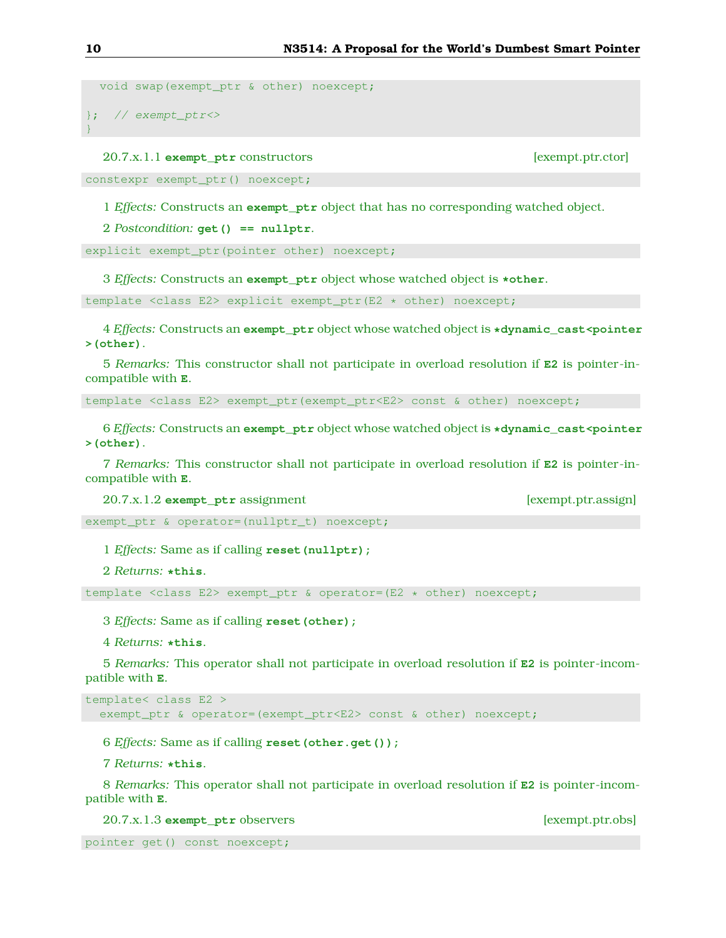```
void swap(exempt ptr & other) noexcept;
}; // exempt_ptr <>
}
```
20.7.x.1.1 **exempt\_ptr** constructors [exempt.ptr.ctor]

constexpr exempt\_ptr() noexcept;

1 *Effects:* Constructs an **exempt\_ptr** object that has no corresponding watched object.

2 *Postcondition:* **get() == nullptr**.

explicit exempt\_ptr(pointer other) noexcept;

3 *Effects:* Constructs an **exempt\_ptr** object whose watched object is **\*other**.

template <class E2> explicit exempt\_ptr(E2 \* other) noexcept;

4 *Effects:* Constructs an **exempt\_ptr** object whose watched object is **\*dynamic\_cast<pointer >(other)**.

5 *Remarks:* This constructor shall not participate in overload resolution if **E2** is pointer-incompatible with **E**.

template <class E2> exempt\_ptr(exempt\_ptr<E2> const & other) noexcept;

6 *Effects:* Constructs an **exempt\_ptr** object whose watched object is **\*dynamic\_cast<pointer >(other)**.

7 *Remarks:* This constructor shall not participate in overload resolution if **E2** is pointer-incompatible with **E**.

20.7.x.1.2 **exempt** ptr assignment [exempt.ptr.assign]

exempt\_ptr & operator=(nullptr\_t) noexcept;

1 *Effects:* Same as if calling **reset(nullptr);**

2 *Returns:* **\*this**.

template <class E2> exempt\_ptr & operator=(E2 \* other) noexcept;

3 *Effects:* Same as if calling **reset(other);**

4 *Returns:* **\*this**.

5 *Remarks:* This operator shall not participate in overload resolution if **E2** is pointer-incompatible with **E**.

```
template< class E2 >
  exempt_ptr & operator=(exempt_ptr<E2> const & other) noexcept;
```
6 *Effects:* Same as if calling **reset(other.get());**

7 *Returns:* **\*this**.

8 *Remarks:* This operator shall not participate in overload resolution if **E2** is pointer-incompatible with **E**.

20.7.x.1.3 **exempt\_ptr** observers [exempt.ptr.obs]

```
pointer get() const noexcept;
```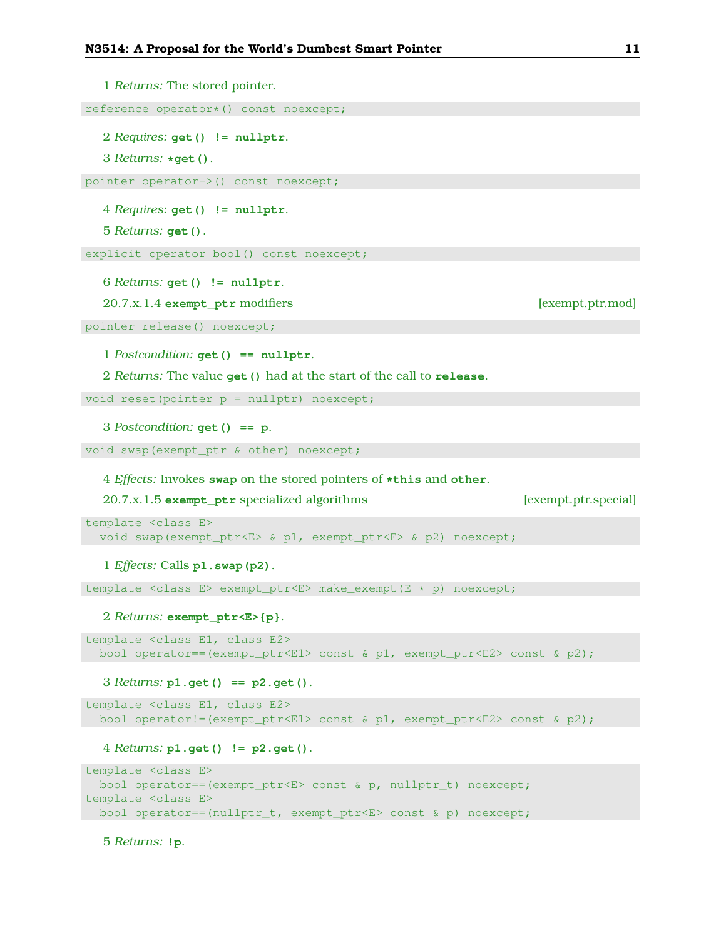1 *Returns:* The stored pointer. reference operator\*() const noexcept; 2 *Requires:* **get() != nullptr**. 3 *Returns:* **\*get()**. pointer operator->() const noexcept; 4 *Requires:* **get() != nullptr**. 5 *Returns:* **get()**. explicit operator bool() const noexcept; 6 *Returns:* **get() != nullptr**. 20.7.x.1.4 **exempt\_ptr** modifiers [exempt.ptr.mod] pointer release() noexcept; 1 *Postcondition:* **get() == nullptr**. 2 *Returns:* The value **get()** had at the start of the call to **release**. void reset(pointer p = nullptr) noexcept; 3 *Postcondition:* **get() == p**. void swap(exempt\_ptr & other) noexcept; 4 *Effects:* Invokes **swap** on the stored pointers of **\*this** and **other**. 20.7.x.1.5 **exempt\_ptr** specialized algorithms [exempt.ptr.special] template <class E> void swap(exempt\_ptr<E> & p1, exempt\_ptr<E> & p2) noexcept; 1 *Effects:* Calls **p1.swap(p2)**. template <class E> exempt\_ptr<E> make\_exempt(E \* p) noexcept; 2 *Returns:* **exempt\_ptr<E>{p}**. template <class E1, class E2> bool operator==(exempt\_ptr<E1> const & p1, exempt\_ptr<E2> const & p2); 3 *Returns:* **p1.get() == p2.get()**. template <class E1, class E2> bool operator!=(exempt\_ptr<E1> const & p1, exempt\_ptr<E2> const & p2); 4 *Returns:* **p1.get() != p2.get()**. template <class E> bool operator==(exempt\_ptr<E> const & p, nullptr\_t) noexcept; template <class E> bool operator==(nullptr\_t, exempt\_ptr<E> const & p) noexcept;

5 *Returns:* **!p**.